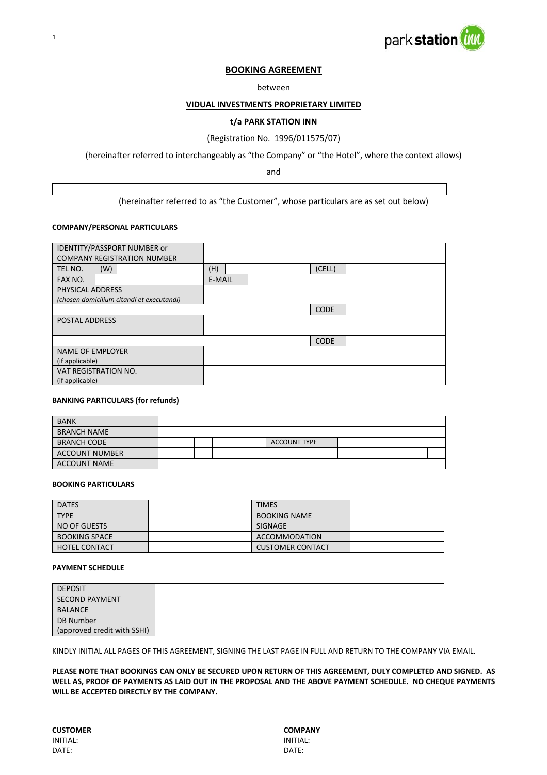



### **BOOKING AGREEMENT**

#### between

#### **VIDUAL INVESTMENTS PROPRIETARY LIMITED**

#### **t/a PARK STATION INN**

#### (Registration No. 1996/011575/07)

(hereinafter referred to interchangeably as "the Company" or "the Hotel", where the context allows)

and

(hereinafter referred to as "the Customer", whose particulars are as set out below)

#### **COMPANY/PERSONAL PARTICULARS**

| <b>IDENTITY/PASSPORT NUMBER or</b>        |               |
|-------------------------------------------|---------------|
| <b>COMPANY REGISTRATION NUMBER</b>        |               |
| TEL NO.<br>(W)                            | (H)<br>(CELL) |
| FAX NO.                                   | E-MAIL        |
| PHYSICAL ADDRESS                          |               |
| (chosen domicilium citandi et executandi) |               |
|                                           | <b>CODE</b>   |
| <b>POSTAL ADDRESS</b>                     |               |
|                                           |               |
|                                           | <b>CODE</b>   |
| <b>NAME OF EMPLOYER</b>                   |               |
| (if applicable)                           |               |
| VAT REGISTRATION NO.                      |               |
| (if applicable)                           |               |

#### **BANKING PARTICULARS (for refunds)**

| <b>BANK</b>           |  |  |  |                     |  |  |  |  |
|-----------------------|--|--|--|---------------------|--|--|--|--|
| <b>BRANCH NAME</b>    |  |  |  |                     |  |  |  |  |
| <b>BRANCH CODE</b>    |  |  |  | <b>ACCOUNT TYPE</b> |  |  |  |  |
| <b>ACCOUNT NUMBER</b> |  |  |  |                     |  |  |  |  |
| <b>ACCOUNT NAME</b>   |  |  |  |                     |  |  |  |  |

#### **BOOKING PARTICULARS**

| <b>DATES</b>         | <b>TIMES</b>            |  |
|----------------------|-------------------------|--|
| <b>TYPE</b>          | <b>BOOKING NAME</b>     |  |
| NO OF GUESTS         | SIGNAGE                 |  |
| <b>BOOKING SPACE</b> | ACCOMMODATION           |  |
| <b>HOTEL CONTACT</b> | <b>CUSTOMER CONTACT</b> |  |

#### **PAYMENT SCHEDULE**

| <b>DEPOSIT</b>              |  |
|-----------------------------|--|
| SECOND PAYMENT              |  |
| BALANCE                     |  |
| DB Number                   |  |
| (approved credit with SSHI) |  |

KINDLY INITIAL ALL PAGES OF THIS AGREEMENT, SIGNING THE LAST PAGE IN FULL AND RETURN TO THE COMPANY VIA EMAIL.

PLEASE NOTE THAT BOOKINGS CAN ONLY BE SECURED UPON RETURN OF THIS AGREEMENT, DULY COMPLETED AND SIGNED. AS WELL AS, PROOF OF PAYMENTS AS LAID OUT IN THE PROPOSAL AND THE ABOVE PAYMENT SCHEDULE. NO CHEQUE PAYMENTS **WILL BE ACCEPTED DIRECTLY BY THE COMPANY.**

**CUSTOMER COMPANY**<br>
INITIAL: INITIAL: INITIAL: INITIAL: DATE: DATE: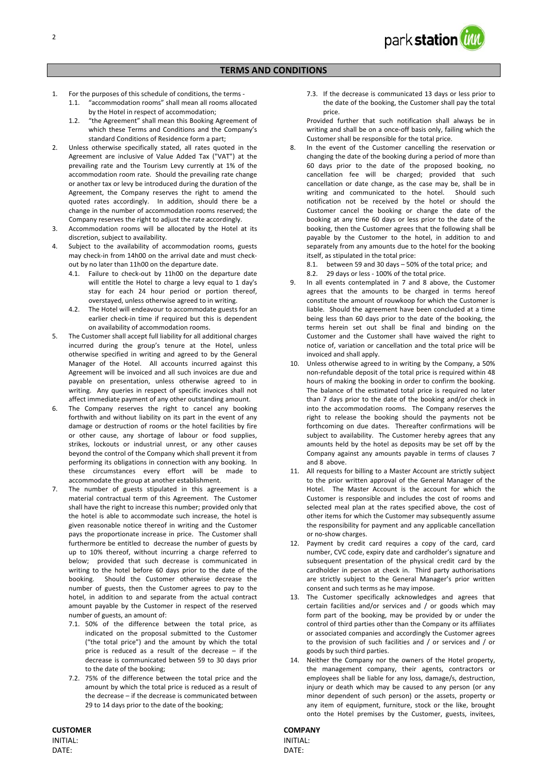

#### **TERMS AND CONDITIONS**

- 1. For the purposes of this schedule of conditions, the terms ‐
	- 1.1. "accommodation rooms" shall mean all rooms allocated by the Hotel in respect of accommodation;
		- 1.2. "the Agreement" shall mean this Booking Agreement of which these Terms and Conditions and the Company's standard Conditions of Residence form a part;
- 2. Unless otherwise specifically stated, all rates quoted in the Agreement are inclusive of Value Added Tax ("VAT") at the prevailing rate and the Tourism Levy currently at 1% of the accommodation room rate. Should the prevailing rate change or another tax or levy be introduced during the duration of the Agreement, the Company reserves the right to amend the quoted rates accordingly. In addition, should there be a change in the number of accommodation rooms reserved; the Company reserves the right to adjust the rate accordingly.
- 3. Accommodation rooms will be allocated by the Hotel at its discretion, subject to availability.
- 4. Subject to the availability of accommodation rooms, guests may check‐in from 14h00 on the arrival date and must check‐ out by no later than 11h00 on the departure date.
	- 4.1. Failure to check-out by 11h00 on the departure date will entitle the Hotel to charge a levy equal to 1 day's stay for each 24 hour period or portion thereof, overstayed, unless otherwise agreed to in writing.
	- 4.2. The Hotel will endeavour to accommodate guests for an earlier check‐in time if required but this is dependent on availability of accommodation rooms.
- 5. The Customer shall accept full liability for all additional charges incurred during the group's tenure at the Hotel, unless otherwise specified in writing and agreed to by the General Manager of the Hotel. All accounts incurred against this Agreement will be invoiced and all such invoices are due and payable on presentation, unless otherwise agreed to in writing. Any queries in respect of specific invoices shall not affect immediate payment of any other outstanding amount.
- The Company reserves the right to cancel any booking forthwith and without liability on its part in the event of any damage or destruction of rooms or the hotel facilities by fire or other cause, any shortage of labour or food supplies, strikes, lockouts or industrial unrest, or any other causes beyond the control of the Company which shall prevent it from performing its obligations in connection with any booking. In these circumstances every effort will be made to accommodate the group at another establishment.
- 7. The number of guests stipulated in this agreement is a material contractual term of this Agreement. The Customer shall have the right to increase this number; provided only that the hotel is able to accommodate such increase, the hotel is given reasonable notice thereof in writing and the Customer pays the proportionate increase in price. The Customer shall furthermore be entitled to decrease the number of guests by up to 10% thereof, without incurring a charge referred to below: provided that such decrease is communicated in writing to the hotel before 60 days prior to the date of the booking. Should the Customer otherwise decrease the number of guests, then the Customer agrees to pay to the hotel, in addition to and separate from the actual contract amount payable by the Customer in respect of the reserved number of guests, an amount of:
	- 7.1. 50% of the difference between the total price, as indicated on the proposal submitted to the Customer ("the total price") and the amount by which the total price is reduced as a result of the decrease – if the decrease is communicated between 59 to 30 days prior to the date of the booking;
	- 7.2. 75% of the difference between the total price and the amount by which the total price is reduced as a result of the decrease – if the decrease is communicated between 29 to 14 days prior to the date of the booking;

**CUSTOMER COMPANY** INITIAL: INITIAL: DATE: DATE:

7.3. If the decrease is communicated 13 days or less prior to the date of the booking, the Customer shall pay the total price.

Provided further that such notification shall always be in writing and shall be on a once-off basis only, failing which the Customer shall be responsible for the total price.

- 8. In the event of the Customer cancelling the reservation or changing the date of the booking during a period of more than 60 days prior to the date of the proposed booking, no cancellation fee will be charged; provided that such cancellation or date change, as the case may be, shall be in writing and communicated to the hotel. Should such notification not be received by the hotel or should the Customer cancel the booking or change the date of the booking at any time 60 days or less prior to the date of the booking, then the Customer agrees that the following shall be payable by the Customer to the hotel, in addition to and separately from any amounts due to the hotel for the booking itself, as stipulated in the total price:
	- 8.1. between 59 and 30 days 50% of the total price; and
	- 8.2. 29 days or less 100% of the total price.
- 9. In all events contemplated in 7 and 8 above, the Customer agrees that the amounts to be charged in terms hereof constitute the amount of rouwkoop for which the Customer is liable. Should the agreement have been concluded at a time being less than 60 days prior to the date of the booking, the terms herein set out shall be final and binding on the Customer and the Customer shall have waived the right to notice of, variation or cancellation and the total price will be invoiced and shall apply.
- 10. Unless otherwise agreed to in writing by the Company, a 50% non‐refundable deposit of the total price is required within 48 hours of making the booking in order to confirm the booking. The balance of the estimated total price is required no later than 7 days prior to the date of the booking and/or check in into the accommodation rooms. The Company reserves the right to release the booking should the payments not be forthcoming on due dates. Thereafter confirmations will be subject to availability. The Customer hereby agrees that any amounts held by the hotel as deposits may be set off by the Company against any amounts payable in terms of clauses 7 and 8 above.
- 11. All requests for billing to a Master Account are strictly subject to the prior written approval of the General Manager of the Hotel. The Master Account is the account for which the Customer is responsible and includes the cost of rooms and selected meal plan at the rates specified above, the cost of other items for which the Customer may subsequently assume the responsibility for payment and any applicable cancellation or no‐show charges.
- 12. Payment by credit card requires a copy of the card, card number, CVC code, expiry date and cardholder's signature and subsequent presentation of the physical credit card by the cardholder in person at check in. Third party authorisations are strictly subject to the General Manager's prior written consent and such terms as he may impose.
- 13. The Customer specifically acknowledges and agrees that certain facilities and/or services and / or goods which may form part of the booking, may be provided by or under the control of third parties other than the Company or its affiliates or associated companies and accordingly the Customer agrees to the provision of such facilities and / or services and / or goods by such third parties.
- 14. Neither the Company nor the owners of the Hotel property, the management company, their agents, contractors or employees shall be liable for any loss, damage/s, destruction, injury or death which may be caused to any person (or any minor dependent of such person) or the assets, property or any item of equipment, furniture, stock or the like, brought onto the Hotel premises by the Customer, guests, invitees,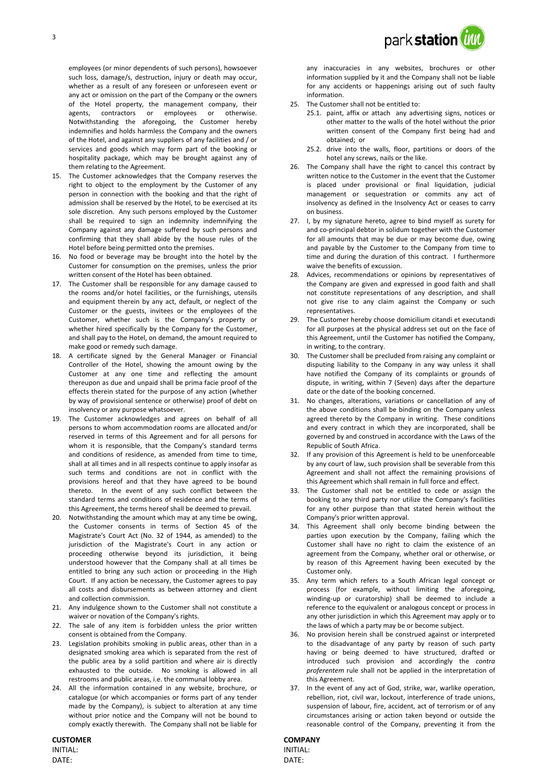employees (or minor dependents of such persons), howsoever such loss, damage/s, destruction, injury or death may occur, whether as a result of any foreseen or unforeseen event or any act or omission on the part of the Company or the owners of the Hotel property, the management company, their agents, contractors or employees or otherwise. Notwithstanding the aforegoing, the Customer hereby indemnifies and holds harmless the Company and the owners of the Hotel, and against any suppliers of any facilities and / or services and goods which may form part of the booking or hospitality package, which may be brought against any of them relating to the Agreement.

- 15. The Customer acknowledges that the Company reserves the right to object to the employment by the Customer of any person in connection with the booking and that the right of admission shall be reserved by the Hotel, to be exercised at its sole discretion. Any such persons employed by the Customer shall be required to sign an indemnity indemnifying the Company against any damage suffered by such persons and confirming that they shall abide by the house rules of the Hotel before being permitted onto the premises.
- 16. No food or beverage may be brought into the hotel by the Customer for consumption on the premises, unless the prior written consent of the Hotel has been obtained.
- 17. The Customer shall be responsible for any damage caused to the rooms and/or hotel facilities, or the furnishings, utensils and equipment therein by any act, default, or neglect of the Customer or the guests, invitees or the employees of the Customer, whether such is the Company's property or whether hired specifically by the Company for the Customer, and shall pay to the Hotel, on demand, the amount required to make good or remedy such damage.
- 18. A certificate signed by the General Manager or Financial Controller of the Hotel, showing the amount owing by the Customer at any one time and reflecting the amount thereupon as due and unpaid shall be prima facie proof of the effects therein stated for the purpose of any action (whether by way of provisional sentence or otherwise) proof of debt on insolvency or any purpose whatsoever.
- 19. The Customer acknowledges and agrees on behalf of all persons to whom accommodation rooms are allocated and/or reserved in terms of this Agreement and for all persons for whom it is responsible, that the Company's standard terms and conditions of residence, as amended from time to time, shall at all times and in all respects continue to apply insofar as such terms and conditions are not in conflict with the provisions hereof and that they have agreed to be bound thereto. In the event of any such conflict between the standard terms and conditions of residence and the terms of this Agreement, the terms hereof shall be deemed to prevail.
- 20. Notwithstanding the amount which may at any time be owing, the Customer consents in terms of Section 45 of the Magistrate's Court Act (No. 32 of 1944, as amended) to the jurisdiction of the Magistrate's Court in any action or proceeding otherwise beyond its jurisdiction, it being understood however that the Company shall at all times be entitled to bring any such action or proceeding in the High Court. If any action be necessary, the Customer agrees to pay all costs and disbursements as between attorney and client and collection commission.
- 21. Any indulgence shown to the Customer shall not constitute a waiver or novation of the Company's rights.
- 22. The sale of any item is forbidden unless the prior written consent is obtained from the Company.
- 23. Legislation prohibits smoking in public areas, other than in a designated smoking area which is separated from the rest of the public area by a solid partition and where air is directly exhausted to the outside. No smoking is allowed in all restrooms and public areas, i.e. the communal lobby area.
- 24. All the information contained in any website, brochure, or catalogue (or which accompanies or forms part of any tender made by the Company), is subject to alteration at any time without prior notice and the Company will not be bound to comply exactly therewith. The Company shall not be liable for

## **CUSTOMER COMPANY**

DATE: DATE:

any inaccuracies in any websites, brochures or other information supplied by it and the Company shall not be liable for any accidents or happenings arising out of such faulty information.

- 25. The Customer shall not be entitled to:
	- 25.1. paint, affix or attach any advertising signs, notices or other matter to the walls of the hotel without the prior written consent of the Company first being had and obtained; or
	- 25.2. drive into the walls, floor, partitions or doors of the hotel any screws, nails or the like.
- 26. The Company shall have the right to cancel this contract by written notice to the Customer in the event that the Customer is placed under provisional or final liquidation, judicial management or sequestration or commits any act of insolvency as defined in the Insolvency Act or ceases to carry on business.
- 27. I, by my signature hereto, agree to bind myself as surety for and co-principal debtor in solidum together with the Customer for all amounts that may be due or may become due, owing and payable by the Customer to the Company from time to time and during the duration of this contract. I furthermore waive the benefits of excussion.
- 28. Advices, recommendations or opinions by representatives of the Company are given and expressed in good faith and shall not constitute representations of any description, and shall not give rise to any claim against the Company or such representatives.
- 29. The Customer hereby choose domicilium citandi et executandi for all purposes at the physical address set out on the face of this Agreement, until the Customer has notified the Company, in writing, to the contrary.
- 30. The Customer shall be precluded from raising any complaint or disputing liability to the Company in any way unless it shall have notified the Company of its complaints or grounds of dispute, in writing, within 7 (Seven) days after the departure date or the date of the booking concerned.
- 31. No changes, alterations, variations or cancellation of any of the above conditions shall be binding on the Company unless agreed thereto by the Company in writing. These conditions and every contract in which they are incorporated, shall be governed by and construed in accordance with the Laws of the Republic of South Africa.
- 32. If any provision of this Agreement is held to be unenforceable by any court of law, such provision shall be severable from this Agreement and shall not affect the remaining provisions of this Agreement which shall remain in full force and effect.
- 33. The Customer shall not be entitled to cede or assign the booking to any third party nor utilize the Company's facilities for any other purpose than that stated herein without the Company's prior written approval.
- 34. This Agreement shall only become binding between the parties upon execution by the Company, failing which the Customer shall have no right to claim the existence of an agreement from the Company, whether oral or otherwise, or by reason of this Agreement having been executed by the Customer only.
- 35. Any term which refers to a South African legal concept or process (for example, without limiting the aforegoing, winding-up or curatorship) shall be deemed to include a reference to the equivalent or analogous concept or process in any other jurisdiction in which this Agreement may apply or to the laws of which a party may be or become subject.
- 36. No provision herein shall be construed against or interpreted to the disadvantage of any party by reason of such party having or being deemed to have structured, drafted or introduced such provision and accordingly the *contra proferentem* rule shall not be applied in the interpretation of this Agreement.
- 37. In the event of any act of God, strike, war, warlike operation, rebellion, riot, civil war, lockout, interference of trade unions, suspension of labour, fire, accident, act of terrorism or of any circumstances arising or action taken beyond or outside the reasonable control of the Company, preventing it from the

# INITIAL: INITIAL: